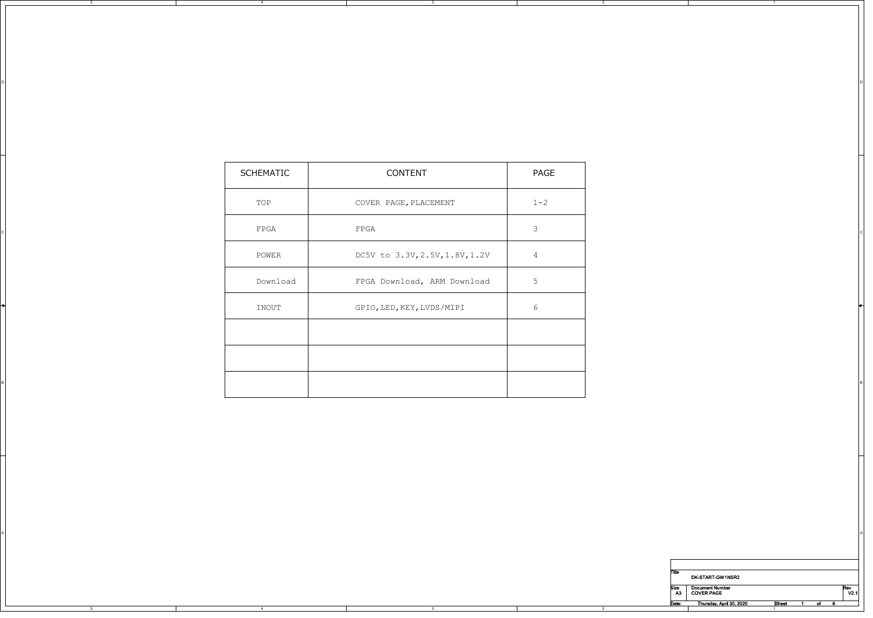| SCHEMATIC    | CONTENT                        | PAGE            |
|--------------|--------------------------------|-----------------|
| TOP          | COVER PAGE, PLACEMENT          | $1 - 2$         |
| ${\tt FPGA}$ | FPGA                           | $\mathbf{3}$    |
| POWER        | DC5V to 3.3V, 2.5V, 1.8V, 1.2V | $\frac{4}{1}$   |
| Download     | FPGA Download, ARM Download    | $5\phantom{.0}$ |
| INOUT        | GPIO, LED, KEY, LVDS/MIPI      | $6\phantom{.}6$ |
|              |                                |                 |
|              |                                |                 |
|              |                                |                 |

A POSTAGE AND THE CONTRACTOR OF A CONTRACTOR CONTRACTOR OF A CONTRACTOR OF A CONTRACTOR OF A CONTRACTOR OF A CO

3

on a construction of the construction of the construction of the construction of the construction of the construction of the construction of the construction of the construction of the construction of the construction of t

5

4

| Title |                          |              |    |      |
|-------|--------------------------|--------------|----|------|
|       | DK-START-GW1NSR2         |              |    |      |
| Size  | <b>Document Number</b>   |              |    | Rev  |
| A3    | <b>COVER PAGE</b>        |              |    | V2.1 |
| Date: |                          |              |    |      |
|       | Thursday, April 30, 2020 | <b>Sheet</b> | of |      |
|       |                          |              |    |      |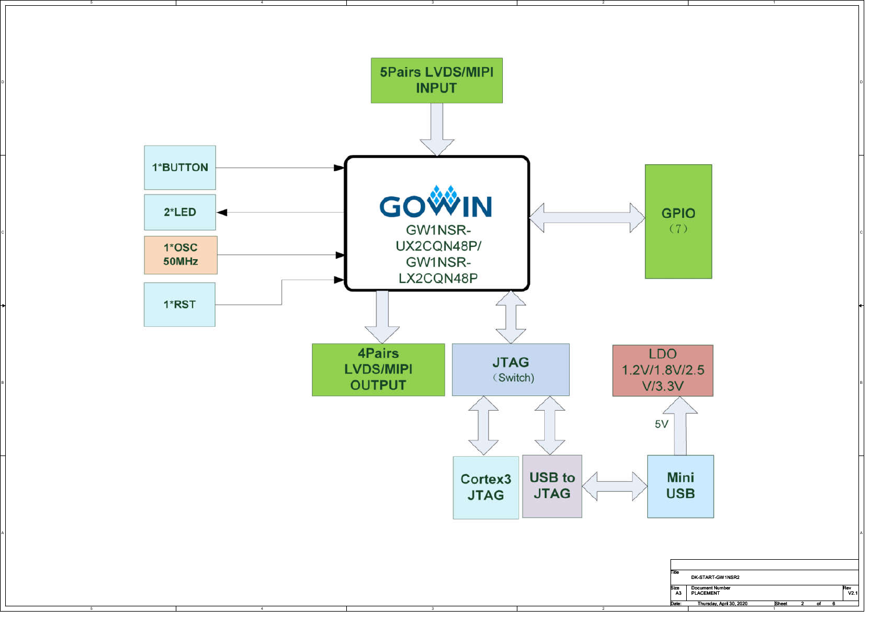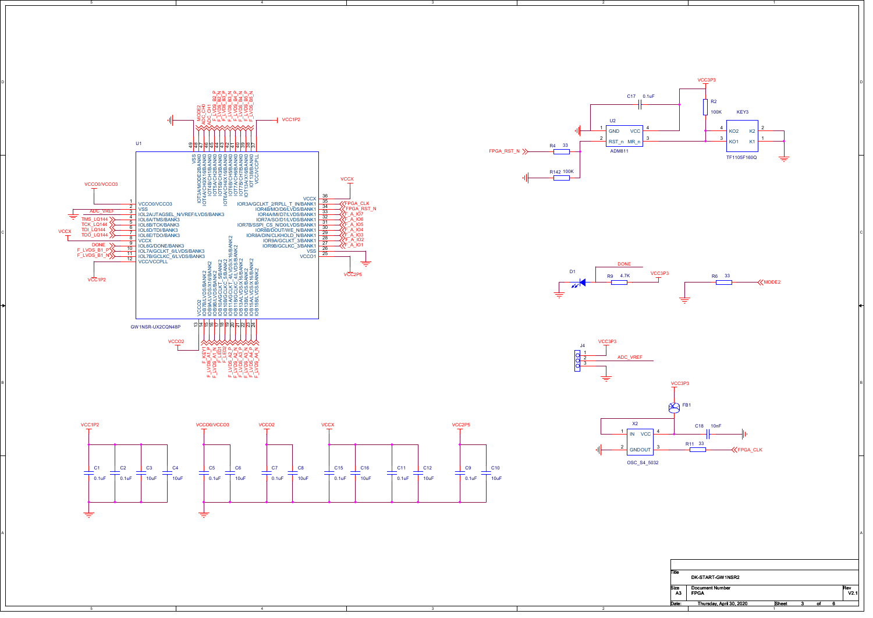



4



3

3

A POSTAGE AND THE CONTRACTOR OF A CONTRACTOR CONTRACTOR OF A CONTRACTOR OF A CONTRACTOR OF A CONTRACTOR OF A CO





| Title | DK-START-GW1NSR2         |              |    |      |
|-------|--------------------------|--------------|----|------|
| Size  | <b>Document Number</b>   |              |    | Rev  |
| A3    | <b>FPGA</b>              |              |    | V2.1 |
| Date: | Thursday, April 30, 2020 | <b>Sheet</b> | οf |      |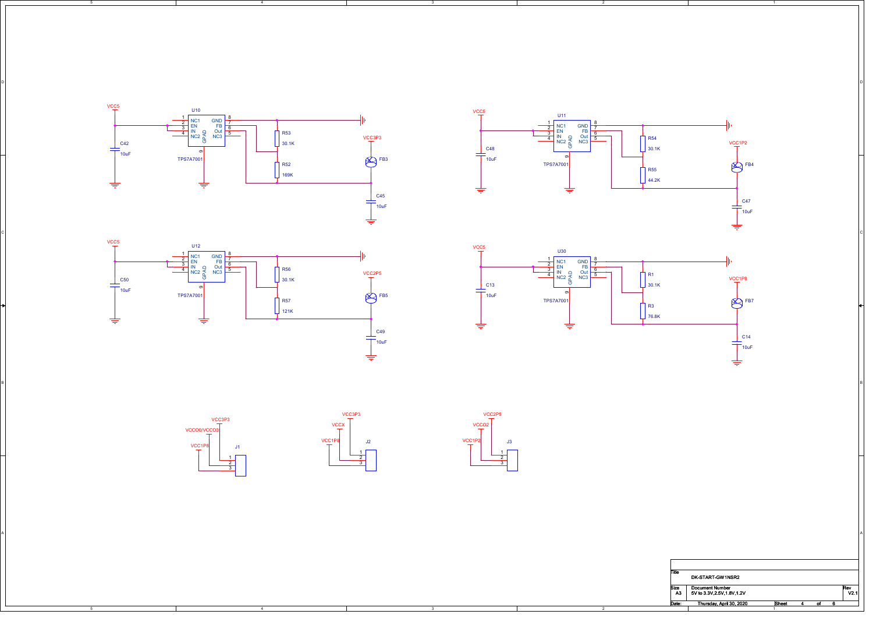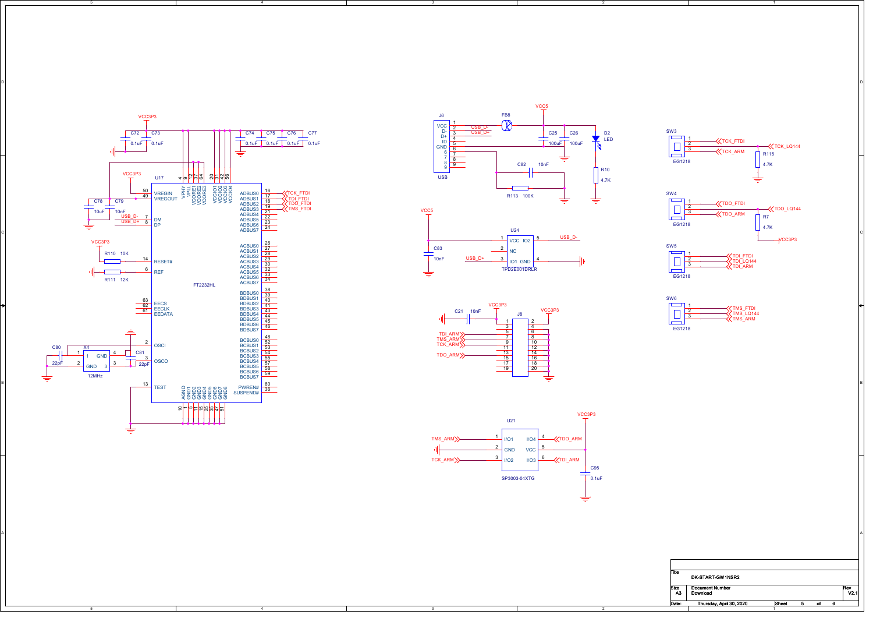

5



3

on a construction of the construction of the construction of the construction of the construction of the construction of the construction of the construction of the construction of the construction of the construction of t





2

3

A POSTAGE AND THE CONTRACTOR OF A CONTRACTOR CONTRACTOR OF A CONTRACTOR OF A CONTRACTOR OF A CONTRACTOR OF A CO



| SW <sub>6</sub> |  |                                              |
|-----------------|--|----------------------------------------------|
|                 |  | TMS FTDI<br>TMS LQ144<br>TMS <sup>-ARM</sup> |
| EG1218          |  |                                              |